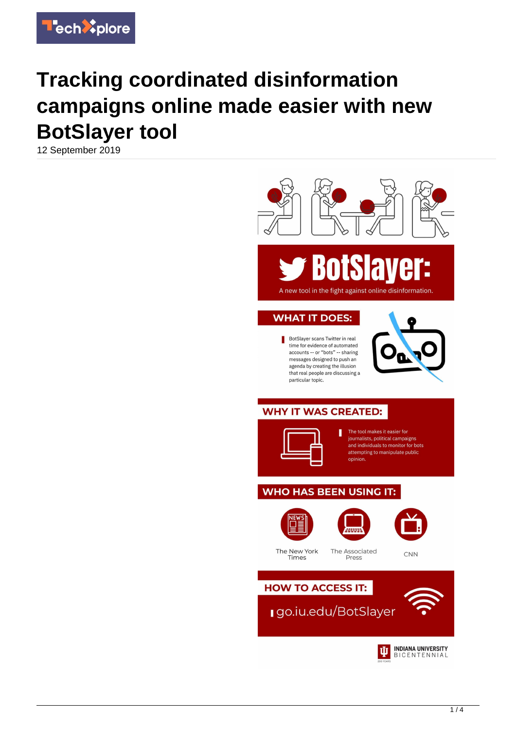

## **Tracking coordinated disinformation campaigns online made easier with new BotSlayer tool**

12 September 2019



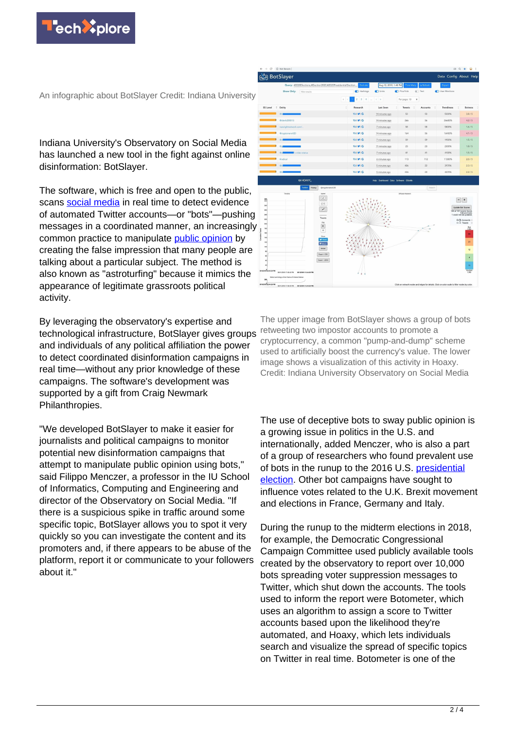

An infographic about BotSlayer Credit: Indiana University

Indiana University's Observatory on Social Media has launched a new tool in the fight against online disinformation: BotSlayer.

The software, which is free and open to the public, scans [social media](https://techxplore.com/tags/social+media/) in real time to detect evidence of automated Twitter accounts—or "bots"—pushing messages in a coordinated manner, an increasingly common practice to manipulate [public opinion](https://techxplore.com/tags/public+opinion/) by creating the false impression that many people are talking about a particular subject. The method is also known as "astroturfing" because it mimics the appearance of legitimate grassroots political activity.

By leveraging the observatory's expertise and technological infrastructure, BotSlayer gives groups and individuals of any political affiliation the power to detect coordinated disinformation campaigns in real time—without any prior knowledge of these campaigns. The software's development was supported by a gift from Craig Newmark Philanthropies.

"We developed BotSlayer to make it easier for journalists and political campaigns to monitor potential new disinformation campaigns that attempt to manipulate public opinion using bots," said Filippo Menczer, a professor in the IU School of Informatics, Computing and Engineering and director of the Observatory on Social Media. "If there is a suspicious spike in traffic around some specific topic, BotSlayer allows you to spot it very quickly so you can investigate the content and its promoters and, if there appears to be abuse of the platform, report it or communicate to your followers about it."



 $\frac{m}{\epsilon}$  $\begin{array}{l} \displaystyle \frac{\sqrt{2} \; \cos \theta}{\sqrt{2} \; \sin \theta} \\[0.2cm] \displaystyle \frac{\sqrt{2} \; \cos \theta}{\sqrt{2} \; \sin \theta} \end{array}$  $Embed$ Export - CS

The upper image from BotSlayer shows a group of bots retweeting two impostor accounts to promote a cryptocurrency, a common "pump-and-dump" scheme used to artificially boost the currency's value. The lower image shows a visualization of this activity in Hoaxy. Credit: Indiana University Observatory on Social Media

The use of deceptive bots to sway public opinion is a growing issue in politics in the U.S. and internationally, added Menczer, who is also a part of a group of researchers who found prevalent use of bots in the runup to the 2016 U.S. [presidential](https://techxplore.com/tags/presidential+election/) [election](https://techxplore.com/tags/presidential+election/). Other bot campaigns have sought to influence votes related to the U.K. Brexit movement and elections in France, Germany and Italy.

During the runup to the midterm elections in 2018, for example, the Democratic Congressional Campaign Committee used publicly available tools created by the observatory to report over 10,000 bots spreading voter suppression messages to Twitter, which shut down the accounts. The tools used to inform the report were Botometer, which uses an algorithm to assign a score to Twitter accounts based upon the likelihood they're automated, and Hoaxy, which lets individuals search and visualize the spread of specific topics on Twitter in real time. Botometer is one of the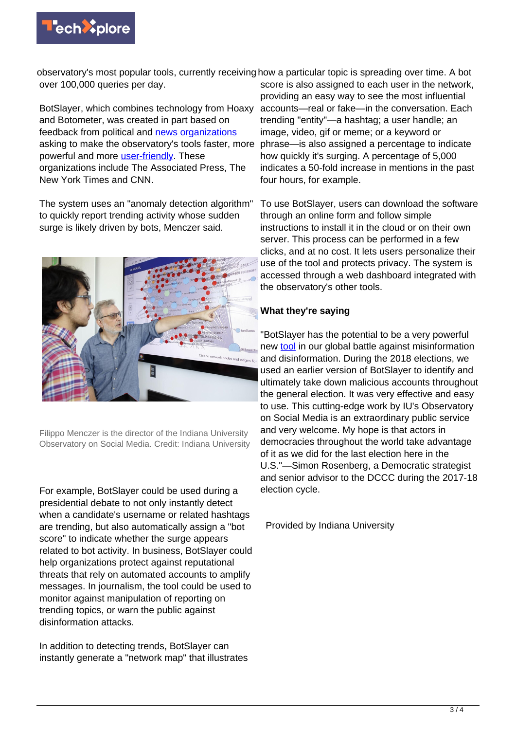

observatory's most popular tools, currently receiving how a particular topic is spreading over time. A bot over 100,000 queries per day.

BotSlayer, which combines technology from Hoaxy and Botometer, was created in part based on feedback from political and [news organizations](https://techxplore.com/tags/news+organizations/) asking to make the observatory's tools faster, more powerful and more [user-friendly](https://techxplore.com/tags/user-friendly/). These organizations include The Associated Press, The New York Times and CNN.

The system uses an "anomaly detection algorithm" to quickly report trending activity whose sudden surge is likely driven by bots, Menczer said.



Filippo Menczer is the director of the Indiana University Observatory on Social Media. Credit: Indiana University

For example, BotSlayer could be used during a presidential debate to not only instantly detect when a candidate's username or related hashtags are trending, but also automatically assign a "bot score" to indicate whether the surge appears related to bot activity. In business, BotSlayer could help organizations protect against reputational threats that rely on automated accounts to amplify messages. In journalism, the tool could be used to monitor against manipulation of reporting on trending topics, or warn the public against disinformation attacks.

In addition to detecting trends, BotSlayer can instantly generate a "network map" that illustrates

score is also assigned to each user in the network, providing an easy way to see the most influential accounts—real or fake—in the conversation. Each trending "entity"—a hashtag; a user handle; an image, video, gif or meme; or a keyword or phrase—is also assigned a percentage to indicate how quickly it's surging. A percentage of 5,000 indicates a 50-fold increase in mentions in the past four hours, for example.

To use BotSlayer, users can download the software through an online form and follow simple instructions to install it in the cloud or on their own server. This process can be performed in a few clicks, and at no cost. It lets users personalize their use of the tool and protects privacy. The system is accessed through a web dashboard integrated with the observatory's other tools.

## **What they're saying**

"BotSlayer has the potential to be a very powerful new [tool](https://techxplore.com/tags/tool/) in our global battle against misinformation and disinformation. During the 2018 elections, we used an earlier version of BotSlayer to identify and ultimately take down malicious accounts throughout the general election. It was very effective and easy to use. This cutting-edge work by IU's Observatory on Social Media is an extraordinary public service and very welcome. My hope is that actors in democracies throughout the world take advantage of it as we did for the last election here in the U.S."—Simon Rosenberg, a Democratic strategist and senior advisor to the DCCC during the 2017-18 election cycle.

Provided by Indiana University